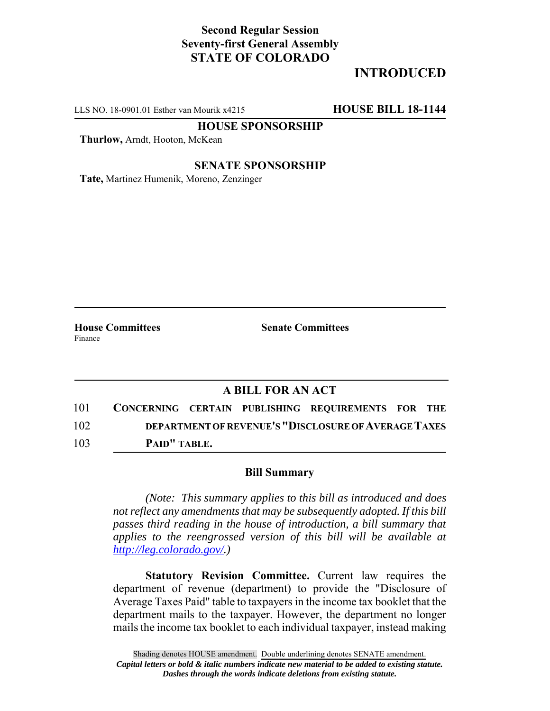## **Second Regular Session Seventy-first General Assembly STATE OF COLORADO**

# **INTRODUCED**

LLS NO. 18-0901.01 Esther van Mourik x4215 **HOUSE BILL 18-1144**

**HOUSE SPONSORSHIP**

**Thurlow,** Arndt, Hooton, McKean

#### **SENATE SPONSORSHIP**

**Tate,** Martinez Humenik, Moreno, Zenzinger

Finance

**House Committees Senate Committees** 

### **A BILL FOR AN ACT**

101 **CONCERNING CERTAIN PUBLISHING REQUIREMENTS FOR THE** 102 **DEPARTMENT OF REVENUE'S "DISCLOSURE OF AVERAGE TAXES** 103 **PAID" TABLE.**

#### **Bill Summary**

*(Note: This summary applies to this bill as introduced and does not reflect any amendments that may be subsequently adopted. If this bill passes third reading in the house of introduction, a bill summary that applies to the reengrossed version of this bill will be available at http://leg.colorado.gov/.)*

**Statutory Revision Committee.** Current law requires the department of revenue (department) to provide the "Disclosure of Average Taxes Paid" table to taxpayers in the income tax booklet that the department mails to the taxpayer. However, the department no longer mails the income tax booklet to each individual taxpayer, instead making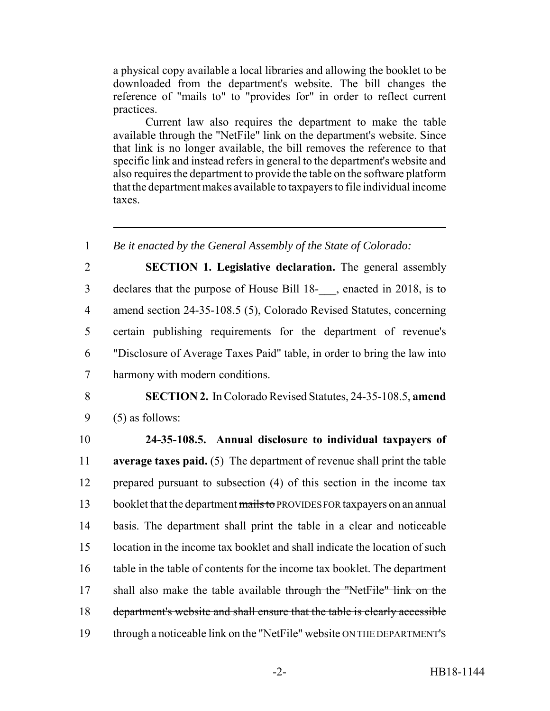a physical copy available a local libraries and allowing the booklet to be downloaded from the department's website. The bill changes the reference of "mails to" to "provides for" in order to reflect current practices.

Current law also requires the department to make the table available through the "NetFile" link on the department's website. Since that link is no longer available, the bill removes the reference to that specific link and instead refers in general to the department's website and also requires the department to provide the table on the software platform that the department makes available to taxpayers to file individual income taxes.

1 *Be it enacted by the General Assembly of the State of Colorado:*

 **SECTION 1. Legislative declaration.** The general assembly declares that the purpose of House Bill 18-\_\_\_, enacted in 2018, is to amend section 24-35-108.5 (5), Colorado Revised Statutes, concerning certain publishing requirements for the department of revenue's "Disclosure of Average Taxes Paid" table, in order to bring the law into harmony with modern conditions.

8 **SECTION 2.** In Colorado Revised Statutes, 24-35-108.5, **amend**  $9 \quad (5)$  as follows:

 **24-35-108.5. Annual disclosure to individual taxpayers of average taxes paid.** (5) The department of revenue shall print the table prepared pursuant to subsection (4) of this section in the income tax 13 booklet that the department mails to PROVIDES FOR taxpayers on an annual basis. The department shall print the table in a clear and noticeable location in the income tax booklet and shall indicate the location of such table in the table of contents for the income tax booklet. The department 17 shall also make the table available through the "NetFile" link on the department's website and shall ensure that the table is clearly accessible 19 through a noticeable link on the "NetFile" website ON THE DEPARTMENT'S